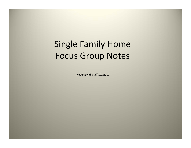# Single Family Home Focus Group Notes

Meeting with Staff 10/25/12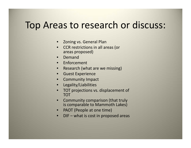## Top Areas to research or discuss:

- Zoning vs. General Plan
- CCR restrictions in all areas (or areas proposed)
- •Demand
- Enforcement
- $\bullet$ • Research (what are we missing)
- Guest Experience
- •Community Impact
- •Legality/Liabilities
- • TOT projections vs. displacement of TOT
- • Community comparison (that truly is comparable to Mammoth Lakes)
- $\bullet$ • PAOT (People at one time)
- •• DIF – what is cost in proposed areas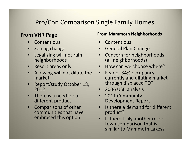### Pro/Con Comparison Single Family Homes

### **From VHR Page**

- •Contentious
- Zoning change
- • Legalizing will not ruin neighborhoods
- Resort areas only
- • Allowing will not dilute the market
- • Report/study October 18, 2012
- •• There is a need for a different product
- • Comparisons of other communities that haveembraced this option

### **From Mammoth Neighborhoods**

- •Contentious
- General Plan Change
- Concern for neighborhoods (all neighborhoods)
- How can we choose where?
- $\bullet$ • Fear of 34% occupancy currently and diluting market through displaced TOT
- 2006 USB analysis
- 2011 Community Development Report
- Is there <sup>a</sup> demand for different product?
- Is there truly another resort town comparison that is similar to Mammoth Lakes?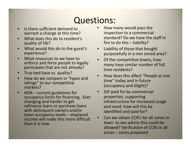## Questions:

- •• Is there sufficient demand to warrant a change at this time?
- • What does this do to resident's quality of life?
- • What would this do to the guest's experience?
- • What resources to we have to enforce and force people to legally participate that are not already?
- True bed base vs. quality?
- •• How do we compare in "types and ratings" to our competitive markets?
- • HOA – current guidelines for occupancy limits for financing. Ever changing and harder to get refinance loans or purchase loans with delinquent owners and/or town occupancy levels – displaced income will make this more difficult than it is now
- •• How many would pass the inspection to a commercial standard? Do we have the staff in fire to do this – liability?
- $\bullet$  Liability of those that bought purposefully in a non zoned area?
- • Of the competitive towns, how many have similar number of full time residents?
- $\bullet$ • How does this affect "People at one time" today and in future (occupancy and blight)?
- • DIF paid for by commercial properties, supporting infrastructure for increased usage and need; how will this be identified and paid for?
- •• Can we obtain CCR's for all zones in town to see where this could be allowed? Verification of CCRs in all zones – zones proposed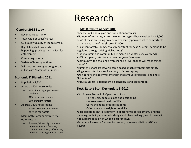#### **October 2012 Study**

- •• Revenue Opportunity
- •Town wide or specific areas
- •• CCR's allow quality of life to remain
- • Regulates what is already happening; provides mechanism for enforcement
- •Competing resorts
- •Variety of housing options
- • Vail: housing averages per guest not in line with Mammoth numbers

#### **Economic & Planning 2011**

- •Population 8,234
- • Approx 2,700 households:
	- 30% of housing is permanent residents
	- 40% are second homes
	- 30% transient rentals
- • Approx 1,200 hotel rooms
	- Mix of economy and limited service for hotels
- •• Mammoth's occupancy rate trials other resorts
	- Summer/winter high numbers due to events and festivals, national draw during off seasons, non skier visits higher year round

## Research

#### **MCSB "white paper" 2006**

- •Analysis of General plan and population forecasts
- •Number of residents, visitors, workers on typical busy weekend is 38,000
- •75% of these are skiing on <sup>a</sup> busy weekend (approx equal to comfortable carrying capacity of the ski area 22,500)
- •This "comfortable number to stay constant for next 20 years, demand to be regulated through pricing (tickets, etc)"
- •The mountain and community are maxed on winter busy weekends
- •40% occupancy rates for consecutive years (average)
- •Community: the challenge with change is "will change will make things better?"
- •Summer visitors are lower income based, much inventory sits empty •Huge amounts of excess inventory in fall and spring
- •Do not have the ability to entertain that amount of people‐ one entity "Mountain"
- •Future success is dependent on consensus and cooperation.

#### **Dest. Resort Econ Dev update 3‐2012**

- •Our 3‐ year Strategic & Operational Plan
	- •Partnership, people, place and positioning
	- •Improve overall quality of life
	- •Serve the needs of local residents
	- •Offer family and neighborhood life

•Base decisions on triple bottom line: economic development, land use planning, mobility, community design and place making (one of these will not support decision of what is best for town)

•Economic Recovery Plan – enforcement, increase visitation, ADR and RevPar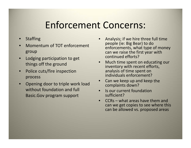## Enforcement Concerns:

- •**Staffing**
- •**•** Momentum of TOT enforcement group
- • Lodging participation to get things off the ground
- •• Police cuts/fire inspection process
- • Opening door to triple work load without foundation and full Basic.Gov program support
- • Analysis; if we hire three full time people (ie: Big Bear) to do enforcements, what type of money can we raise the first year with continued efforts?
- • Much time spent on educating our inventory with recent efforts, analysis of time spent on individuals enforcement?
- •• Can we keep up and keep the complaints down?
- •**•** Is our current foundation sufficient?
- • CCRs – what areas have them and can we get copies to see where this can be allowed vs. proposed areas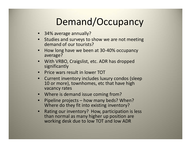# Demand/Occupancy

- 34% average annually?
- Studies and surveys to show we are not meeting demand of our tourists?
- •• How long have we been at 30-40% occupancy average?
- With VRBO, Craigslist, etc. ADR has dropped significantly
- Price wars result in lower TOT
- Current inventory includes luxury condos (sleep 10 or more), townhomes, etc that have high vacancy rates
- Where is demand issue coming from?
- • Pipeline projects – how many beds? When? Where do they fit into existing inventory?
- • Rating our inventory? How, participation is less than normal as many higher up position are working desk due to low TOT and low ADR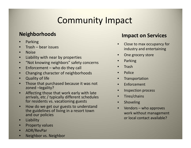## Community Impact

### **Neighborhoods**

- •Parking
- •• Trash – bear issues
- •Noise
- •Liability with near by properties
- •"Not knowing neighbors" safety concerns
- •• Enforcement – who do they call
- •Changing character of neighborhoods
- •Quality of life
- • Those that purchased because it was not zoned –legality?
- • Affecting those that work early with late arrivals, etc / typically different schedules for residents vs. vacationing guests
- •• How do we get our guests to understand the guidelines of living in a resort town and our policies
- •Liability
- •Property values
- •ADR/RevPar
- •Neighbor vs. Neighbor

### **Impact on Services**

- • Close to max occupancy for industry and entertaining
- •• One grocery store
- •Parking
- •**Trash**
- •Police
- •**Transportation**
- •Enforcement
- •Inspection process
- •Tires/chains
- •Shoveling
- •• Vendors – who approves work without management or local contact available?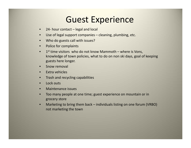## Guest Experience

- •24‐ hour contact – legal and local
- •Use of legal support companies – cleaning, plumbing, etc.
- •Who do guests call with issues?
- •• Police for complaints
- $\bullet$  $\bullet$  1st time visitors who do not know Mammoth – where is Vons, knowledge of town policies, what to do on non ski days, goal of keeping guests here longer.
- •**•** Snow removal
- •• Extra vehicles
- •**•** Trash and recycling capabilities
- •• Lock outs
- •Maintenance issues
- • Too many people at one time; guest experience on mountain or in grocery store
- • Marketing to bring them back – individuals listing on one forum (VRBO) not marketing the town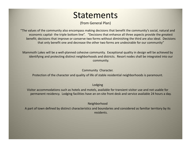### **Statements**

(from General Plan)

"The values of the community also encompass making decisions that benefit the community's social, natural and economic capital‐ the triple bottom line". "Decisions that enhance all three aspects provide the greatest benefit; decisions that improve or conserve two forms without diminishing the third are also ideal. Decisions that only benefit one and decrease the other two forms are undesirable for our community"

Mammoth Lakes will be <sup>a</sup> well‐planned cohesive community. Exceptional quality in design will be achieved by identifying and protecting distinct neighborhoods and districts. Resort nodes shall be integrated into our community.

Community Character.

Protection of the character and quality of life of stable residential neighborhoods is paramount.

Lodging

Visitor accommodations such as hotels and motels, available for transient visitor use and not usable for permanent residency. Lodging facilities have an on‐site front desk and service available 24 hours <sup>a</sup> day.

Neighborhood

A part of town defined by distinct characteristics and boundaries and considered as familiar territory by its residents.